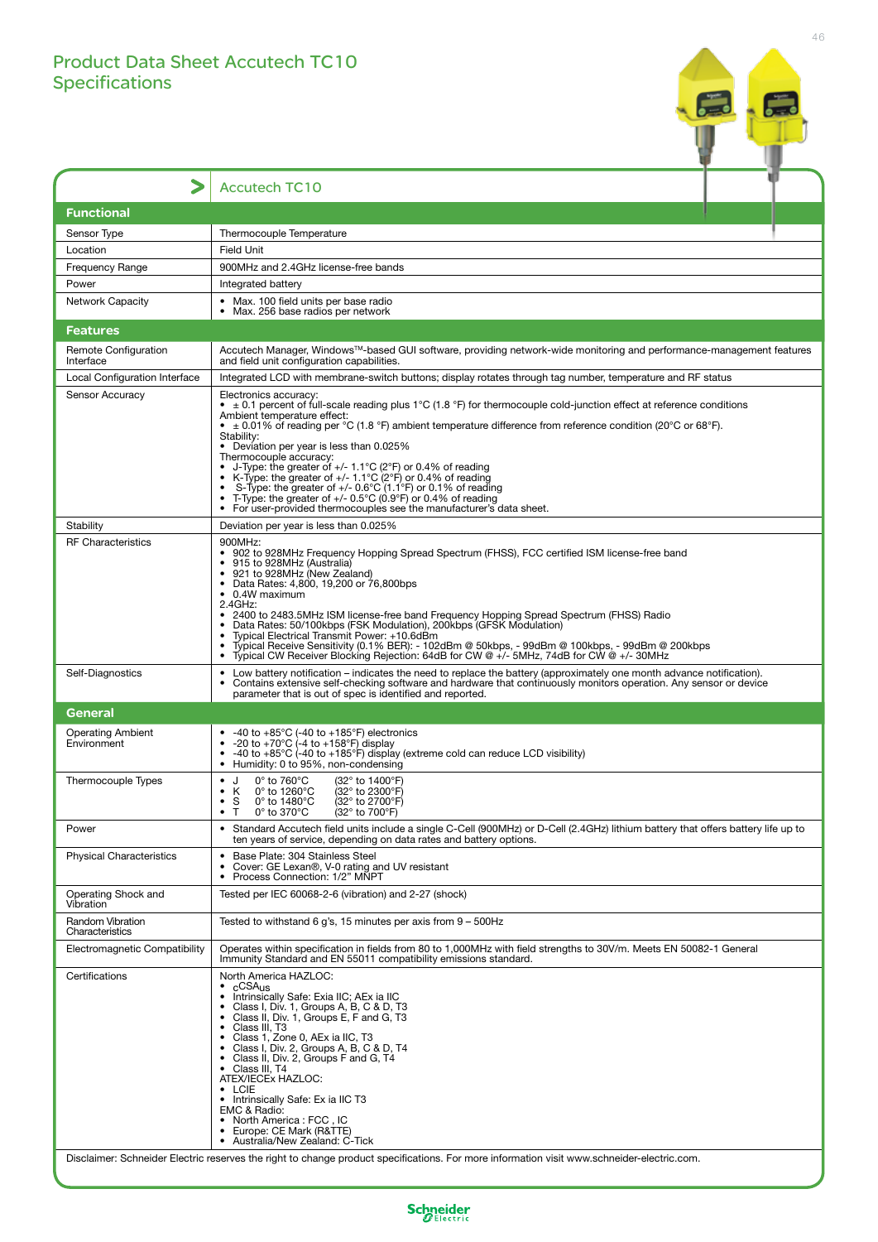## Product Data Sheet Accutech TC10 Specifications



|                                                                                                                                            | <b>Accutech TC10</b>                                                                                                                                                                                                                                                                                                                                                                                                                                                                                                                                                                                                                                                                                                                                                     |  |
|--------------------------------------------------------------------------------------------------------------------------------------------|--------------------------------------------------------------------------------------------------------------------------------------------------------------------------------------------------------------------------------------------------------------------------------------------------------------------------------------------------------------------------------------------------------------------------------------------------------------------------------------------------------------------------------------------------------------------------------------------------------------------------------------------------------------------------------------------------------------------------------------------------------------------------|--|
| <b>Functional</b>                                                                                                                          |                                                                                                                                                                                                                                                                                                                                                                                                                                                                                                                                                                                                                                                                                                                                                                          |  |
| Sensor Type                                                                                                                                | Thermocouple Temperature                                                                                                                                                                                                                                                                                                                                                                                                                                                                                                                                                                                                                                                                                                                                                 |  |
| Location                                                                                                                                   | <b>Field Unit</b>                                                                                                                                                                                                                                                                                                                                                                                                                                                                                                                                                                                                                                                                                                                                                        |  |
| <b>Frequency Range</b>                                                                                                                     | 900MHz and 2.4GHz license-free bands                                                                                                                                                                                                                                                                                                                                                                                                                                                                                                                                                                                                                                                                                                                                     |  |
| Power                                                                                                                                      | Integrated battery                                                                                                                                                                                                                                                                                                                                                                                                                                                                                                                                                                                                                                                                                                                                                       |  |
| <b>Network Capacity</b>                                                                                                                    | • Max. 100 field units per base radio<br>• Max. 256 base radios per network                                                                                                                                                                                                                                                                                                                                                                                                                                                                                                                                                                                                                                                                                              |  |
| <b>Features</b>                                                                                                                            |                                                                                                                                                                                                                                                                                                                                                                                                                                                                                                                                                                                                                                                                                                                                                                          |  |
| Remote Configuration                                                                                                                       | Accutech Manager, Windows™-based GUI software, providing network-wide monitoring and performance-management features                                                                                                                                                                                                                                                                                                                                                                                                                                                                                                                                                                                                                                                     |  |
| Interface                                                                                                                                  | and field unit configuration capabilities.                                                                                                                                                                                                                                                                                                                                                                                                                                                                                                                                                                                                                                                                                                                               |  |
| Local Configuration Interface                                                                                                              | Integrated LCD with membrane-switch buttons; display rotates through tag number, temperature and RF status                                                                                                                                                                                                                                                                                                                                                                                                                                                                                                                                                                                                                                                               |  |
| Sensor Accuracy                                                                                                                            | Electronics accuracy:<br>• $\pm$ 0.1 percent of full-scale reading plus 1°C (1.8 °F) for thermocouple cold-junction effect at reference conditions<br>Ambient temperature effect:<br>• $\pm$ 0.01% of reading per °C (1.8 °F) ambient temperature difference from reference condition (20°C or 68°F).<br>Stability:<br>• Deviation per year is less than 0.025%<br>Thermocouple accuracy:<br>J-Type: the greater of +/- 1.1°C (2°F) or 0.4% of reading<br>• K-Type: the greater of $+/- 1.1^{\circ}C(2^{\circ}F)$ or 0.4% of reading<br>S-Type: the greater of $+/- 0.6^{\circ}C$ (1.1 $^{\circ}F$ ) or 0.1% of reading<br>T-Type: the greater of $+/- 0.5^{\circ}$ C (0.9°F) or 0.4% of reading<br>• For user-provided thermocouples see the manufacturer's data sheet. |  |
| Stability                                                                                                                                  | Deviation per year is less than 0.025%                                                                                                                                                                                                                                                                                                                                                                                                                                                                                                                                                                                                                                                                                                                                   |  |
| <b>RF Characteristics</b>                                                                                                                  | 900MHz:<br>• 902 to 928MHz Frequency Hopping Spread Spectrum (FHSS), FCC certified ISM license-free band<br>• 915 to 928MHz (Australia)<br>• 921 to 928MHz (New Zealand)<br>• Data Rates: 4,800, 19,200 or 76,800bps<br>• 0.4W maximum<br>2.4GHz:<br>• 2400 to 2483.5MHz ISM license-free band Frequency Hopping Spread Spectrum (FHSS) Radio<br>• Data Rates: 50/100kbps (FSK Modulation), 200kbps (GFSK Modulation)<br>Typical Electrical Transmit Power: +10.6dBm<br>Typical Receive Sensitivity (0.1% BER): - 102dBm @ 50kbps, - 99dBm @ 100kbps, - 99dBm @ 200kbps<br>Typical CW Receiver Blocking Rejection: 64dB for CW @ +/- 5MHz, 74dB for CW @ +/- 30MHz                                                                                                       |  |
| Self-Diagnostics                                                                                                                           | • Low battery notification – indicates the need to replace the battery (approximately one month advance notification).<br>Contains extensive self-checking software and hardware that continuously monitors operation. Any sensor or device<br>parameter that is out of spec is identified and reported.                                                                                                                                                                                                                                                                                                                                                                                                                                                                 |  |
| General                                                                                                                                    |                                                                                                                                                                                                                                                                                                                                                                                                                                                                                                                                                                                                                                                                                                                                                                          |  |
| <b>Operating Ambient</b><br>Environment                                                                                                    | -40 to $+85^{\circ}$ C (-40 to $+185^{\circ}$ F) electronics<br>-20 to +70 $^{\circ}$ C (-4 to +158 $^{\circ}$ F) display<br>-40 to +85 $\degree$ C (-40 to +185 $\degree$ F) display (extreme cold can reduce LCD visibility)<br>Humidity: 0 to 95%, non-condensing<br>$\bullet$                                                                                                                                                                                                                                                                                                                                                                                                                                                                                        |  |
| Thermocouple Types                                                                                                                         | $0^\circ$ to 760 $^\circ$ C<br>(32° to 1400°F)<br>J<br>٠<br>(32° to 2300°F)<br>$0^\circ$ to 1260 $^\circ$ C<br>к<br>0° to 1480°C<br>(32° to 2700°F)<br>$\bullet$<br>S<br>T<br>$0^\circ$ to 370 $^\circ$ C<br>(32° to 700°F)<br>$\bullet$                                                                                                                                                                                                                                                                                                                                                                                                                                                                                                                                 |  |
| Power                                                                                                                                      | Standard Accutech field units include a single C-Cell (900MHz) or D-Cell (2.4GHz) lithium battery that offers battery life up to<br>ten years of service, depending on data rates and battery options.                                                                                                                                                                                                                                                                                                                                                                                                                                                                                                                                                                   |  |
| <b>Physical Characteristics</b>                                                                                                            | Base Plate: 304 Stainless Steel<br>٠<br>Cover: GE Lexan <sup>®</sup> , V-0 rating and UV resistant<br>Process Connection: 1/2" MNPT                                                                                                                                                                                                                                                                                                                                                                                                                                                                                                                                                                                                                                      |  |
| Operating Shock and<br>Vibration                                                                                                           | Tested per IEC 60068-2-6 (vibration) and 2-27 (shock)                                                                                                                                                                                                                                                                                                                                                                                                                                                                                                                                                                                                                                                                                                                    |  |
| Random Vibration<br>Characteristics                                                                                                        | Tested to withstand 6 g's, 15 minutes per axis from $9 - 500$ Hz                                                                                                                                                                                                                                                                                                                                                                                                                                                                                                                                                                                                                                                                                                         |  |
| Electromagnetic Compatibility                                                                                                              | Operates within specification in fields from 80 to 1,000MHz with field strengths to 30V/m. Meets EN 50082-1 General<br>Immunity Standard and EN 55011 compatibility emissions standard.                                                                                                                                                                                                                                                                                                                                                                                                                                                                                                                                                                                  |  |
| Certifications                                                                                                                             | North America HAZLOC:<br>$\cdot$ $_{c}$ CSA <sub>US</sub><br>Intrinsically Safe: Exia IIC; AEx ia IIC<br>Class I, Div. 1, Groups A, B, C & D, T3<br>Class II, Div. 1, Groups E, F and G, T3<br>Class III, T3<br>Class 1, Zone 0, AEx ia IIC, T3<br>• Class I, Div. 2, Groups A, B, C & D, T4<br>• Class II, Div. 2, Groups F and G, T4<br>• Class III, T4<br>ATEX/IECEx HAZLOC:<br>$\cdot$ LCIE<br>• Intrinsically Safe: Ex ia IIC T3<br>EMC & Radio:<br>North America: FCC, IC<br>Europe: CE Mark (R&TTE)<br>$\bullet$<br>Australia/New Zealand: C-Tick                                                                                                                                                                                                                 |  |
| Disclaimer: Schneider Electric reserves the right to change product specifications. For more information visit www.schneider-electric.com. |                                                                                                                                                                                                                                                                                                                                                                                                                                                                                                                                                                                                                                                                                                                                                                          |  |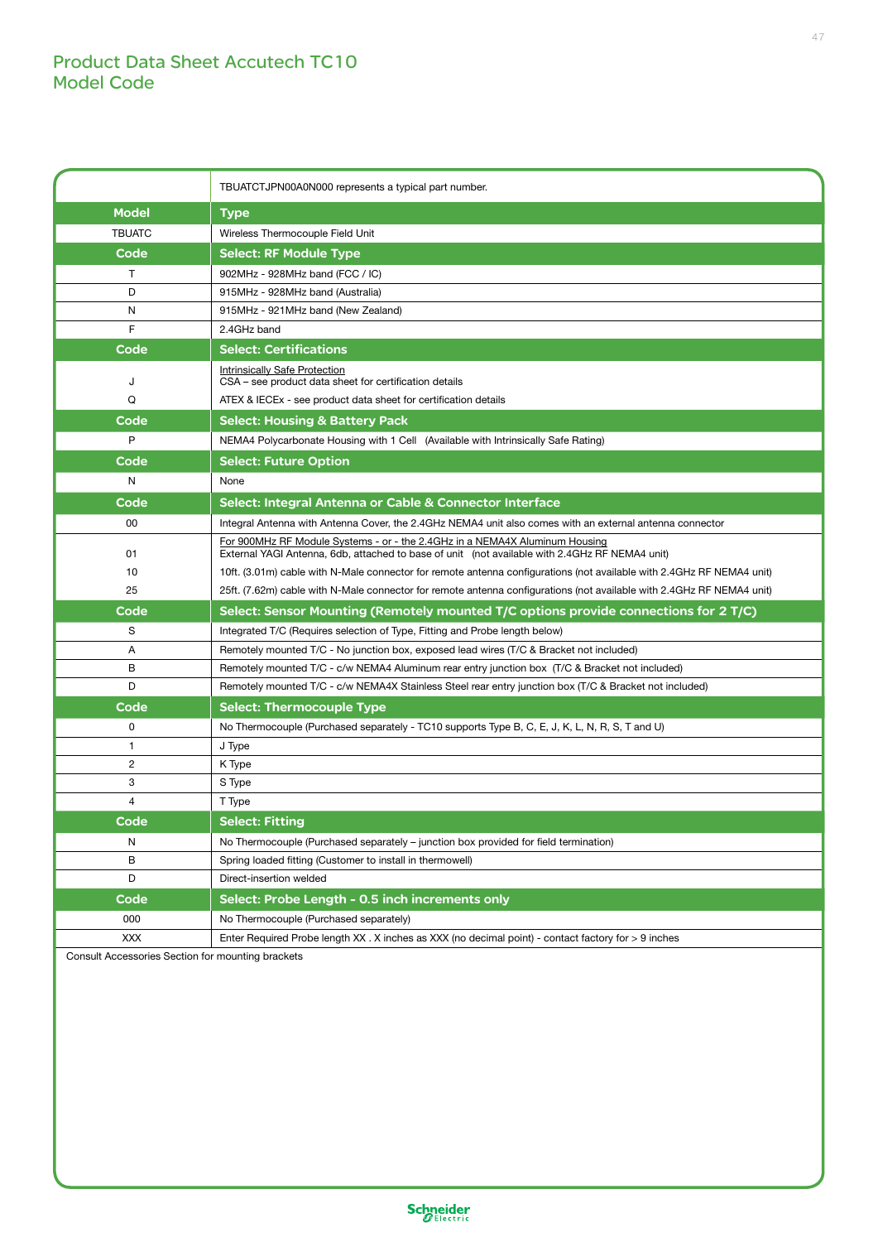## Product Data Sheet Accutech TC10 Model Code

|                                                          | TBUATCTJPN00A0N000 represents a typical part number.                                                                                                                          |
|----------------------------------------------------------|-------------------------------------------------------------------------------------------------------------------------------------------------------------------------------|
| <b>Model</b>                                             | <b>Type</b>                                                                                                                                                                   |
| <b>TBUATC</b>                                            | Wireless Thermocouple Field Unit                                                                                                                                              |
| Code                                                     | <b>Select: RF Module Type</b>                                                                                                                                                 |
| T                                                        | 902MHz - 928MHz band (FCC / IC)                                                                                                                                               |
| D                                                        | 915MHz - 928MHz band (Australia)                                                                                                                                              |
| N                                                        | 915MHz - 921MHz band (New Zealand)                                                                                                                                            |
| F                                                        | 2.4GHz band                                                                                                                                                                   |
| Code                                                     | <b>Select: Certifications</b>                                                                                                                                                 |
| J                                                        | Intrinsically Safe Protection<br>CSA – see product data sheet for certification details                                                                                       |
| Q                                                        | ATEX & IECEx - see product data sheet for certification details                                                                                                               |
| Code                                                     | <b>Select: Housing &amp; Battery Pack</b>                                                                                                                                     |
| P                                                        | NEMA4 Polycarbonate Housing with 1 Cell (Available with Intrinsically Safe Rating)                                                                                            |
| Code                                                     | <b>Select: Future Option</b>                                                                                                                                                  |
| N                                                        | None                                                                                                                                                                          |
| Code                                                     | Select: Integral Antenna or Cable & Connector Interface                                                                                                                       |
| 00                                                       | Integral Antenna with Antenna Cover, the 2.4GHz NEMA4 unit also comes with an external antenna connector                                                                      |
| 01                                                       | For 900MHz RF Module Systems - or - the 2.4GHz in a NEMA4X Aluminum Housing<br>External YAGI Antenna, 6db, attached to base of unit (not available with 2.4GHz RF NEMA4 unit) |
| 10                                                       | 10ft. (3.01m) cable with N-Male connector for remote antenna configurations (not available with 2.4GHz RF NEMA4 unit)                                                         |
| 25                                                       | 25ft. (7.62m) cable with N-Male connector for remote antenna configurations (not available with 2.4GHz RF NEMA4 unit)                                                         |
| Code                                                     | Select: Sensor Mounting (Remotely mounted T/C options provide connections for 2 T/C)                                                                                          |
| S                                                        | Integrated T/C (Requires selection of Type, Fitting and Probe length below)                                                                                                   |
| Α                                                        | Remotely mounted T/C - No junction box, exposed lead wires (T/C & Bracket not included)                                                                                       |
| В                                                        | Remotely mounted T/C - c/w NEMA4 Aluminum rear entry junction box (T/C & Bracket not included)                                                                                |
| D                                                        | Remotely mounted T/C - c/w NEMA4X Stainless Steel rear entry junction box (T/C & Bracket not included)                                                                        |
| Code                                                     | <b>Select: Thermocouple Type</b>                                                                                                                                              |
| 0                                                        | No Thermocouple (Purchased separately - TC10 supports Type B, C, E, J, K, L, N, R, S, T and U)                                                                                |
| 1                                                        | J Type                                                                                                                                                                        |
| 2                                                        | K Type                                                                                                                                                                        |
| 3                                                        | S Type                                                                                                                                                                        |
| 4                                                        | T Type                                                                                                                                                                        |
| Code                                                     | <b>Select: Fitting</b>                                                                                                                                                        |
| N                                                        | No Thermocouple (Purchased separately – junction box provided for field termination)                                                                                          |
| в                                                        | Spring loaded fitting (Customer to install in thermowell)                                                                                                                     |
| D                                                        | Direct-insertion welded                                                                                                                                                       |
| Code                                                     | Select: Probe Length - 0.5 inch increments only                                                                                                                               |
| 000                                                      | No Thermocouple (Purchased separately)                                                                                                                                        |
| XXX<br>Consult Accossories Section for mounting brackets | Enter Required Probe length XX . X inches as XXX (no decimal point) - contact factory for > 9 inches                                                                          |

onsult Accessories Section for mounting brackets